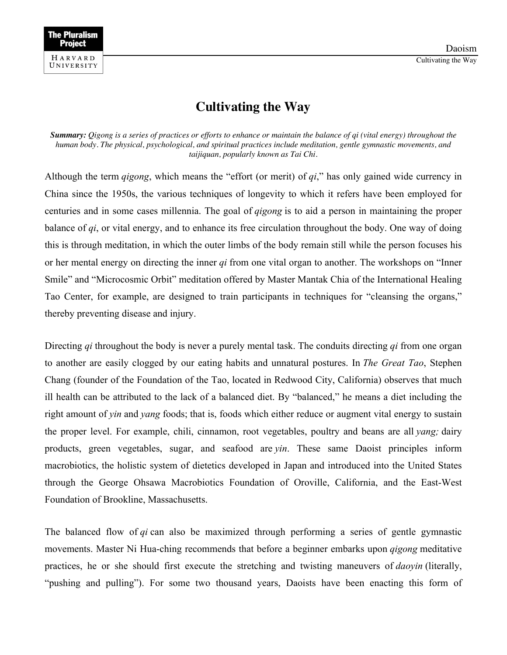

## **Cultivating the Way**

*Summary: Qigong is a series of practices or efforts to enhance or maintain the balance of qi (vital energy) throughout the human body. The physical, psychological, and spiritual practices include meditation, gentle gymnastic movements, and taijiquan, popularly known as Tai Chi.*

Although the term *qigong*, which means the "effort (or merit) of *qi*," has only gained wide currency in China since the 1950s, the various techniques of longevity to which it refers have been employed for centuries and in some cases millennia. The goal of *qigong* is to aid a person in maintaining the proper balance of *qi*, or vital energy, and to enhance its free circulation throughout the body. One way of doing this is through meditation, in which the outer limbs of the body remain still while the person focuses his or her mental energy on directing the inner *qi* from one vital organ to another. The workshops on "Inner Smile" and "Microcosmic Orbit" meditation offered by Master Mantak Chia of the International Healing Tao Center, for example, are designed to train participants in techniques for "cleansing the organs," thereby preventing disease and injury.

Directing *qi* throughout the body is never a purely mental task. The conduits directing *qi* from one organ to another are easily clogged by our eating habits and unnatural postures. In *The Great Tao*, Stephen Chang (founder of the Foundation of the Tao, located in Redwood City, California) observes that much ill health can be attributed to the lack of a balanced diet. By "balanced," he means a diet including the right amount of *yin* and *yang* foods; that is, foods which either reduce or augment vital energy to sustain the proper level. For example, chili, cinnamon, root vegetables, poultry and beans are all *yang;* dairy products, green vegetables, sugar, and seafood are *yin*. These same Daoist principles inform macrobiotics, the holistic system of dietetics developed in Japan and introduced into the United States through the George Ohsawa Macrobiotics Foundation of Oroville, California, and the East-West Foundation of Brookline, Massachusetts.

The balanced flow of *qi* can also be maximized through performing a series of gentle gymnastic movements. Master Ni Hua-ching recommends that before a beginner embarks upon *qigong* meditative practices, he or she should first execute the stretching and twisting maneuvers of *daoyin* (literally, "pushing and pulling"). For some two thousand years, Daoists have been enacting this form of